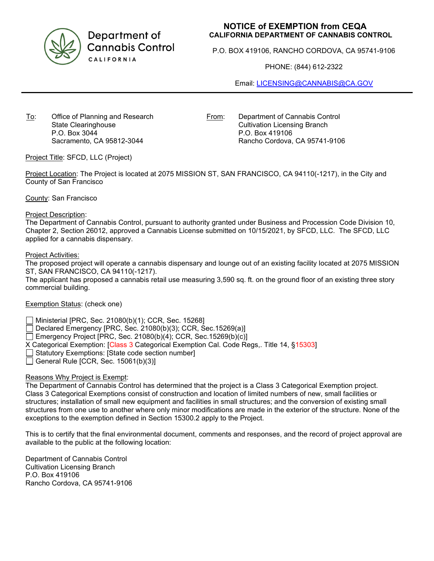

Department of **Cannabis Control** CALIFORNIA

# **NOTICE of EXEMPTION from CEQA CALIFORNIA DEPARTMENT OF CANNABIS CONTROL**

P.O. BOX 419106, RANCHO CORDOVA, CA 95741-9106

PHONE: (844) 612-2322

Email: [LICENSING@CANNABIS@CA.GOV](mailto:LICENSING@CANNABIS@CA.GOV)

To: Office of Planning and Research State Clearinghouse P.O. Box 3044 Sacramento, CA 95812-3044

From: Department of Cannabis Control Cultivation Licensing Branch P.O. Box 419106 Rancho Cordova, CA 95741-9106

Project Title: SFCD, LLC (Project)

Project Location: The Project is located at 2075 MISSION ST, SAN FRANCISCO, CA 94110(-1217), in the City and County of San Francisco

County: San Francisco

#### Project Description:

The Department of Cannabis Control, pursuant to authority granted under Business and Procession Code Division 10, Chapter 2, Section 26012, approved a Cannabis License submitted on 10/15/2021, by SFCD, LLC. The SFCD, LLC applied for a cannabis dispensary.

#### Project Activities:

The proposed project will operate a cannabis dispensary and lounge out of an existing facility located at 2075 MISSION ST, SAN FRANCISCO, CA 94110(-1217).

The applicant has proposed a cannabis retail use measuring 3,590 sq. ft. on the ground floor of an existing three story commercial building.

## Exemption Status: (check one)

Ministerial [PRC, Sec. 21080(b)(1); CCR, Sec. 15268]

Declared Emergency [PRC, Sec. 21080(b)(3); CCR, Sec.15269(a)]

Emergency Project [PRC, Sec. 21080(b)(4); CCR, Sec.15269(b)(c)]

X Categorical Exemption: [Class 3 Categorical Exemption Cal. Code Regs,. Title 14, §15303]

Statutory Exemptions: [State code section number]

 $\Box$  General Rule [CCR, Sec. 15061(b)(3)]

## Reasons Why Project is Exempt:

The Department of Cannabis Control has determined that the project is a Class 3 Categorical Exemption project. Class 3 Categorical Exemptions consist of construction and location of limited numbers of new, small facilities or structures; installation of small new equipment and facilities in small structures; and the conversion of existing small structures from one use to another where only minor modifications are made in the exterior of the structure. None of the exceptions to the exemption defined in Section 15300.2 apply to the Project.

This is to certify that the final environmental document, comments and responses, and the record of project approval are available to the public at the following location:

Department of Cannabis Control Cultivation Licensing Branch P.O. Box 419106 Rancho Cordova, CA 95741-9106